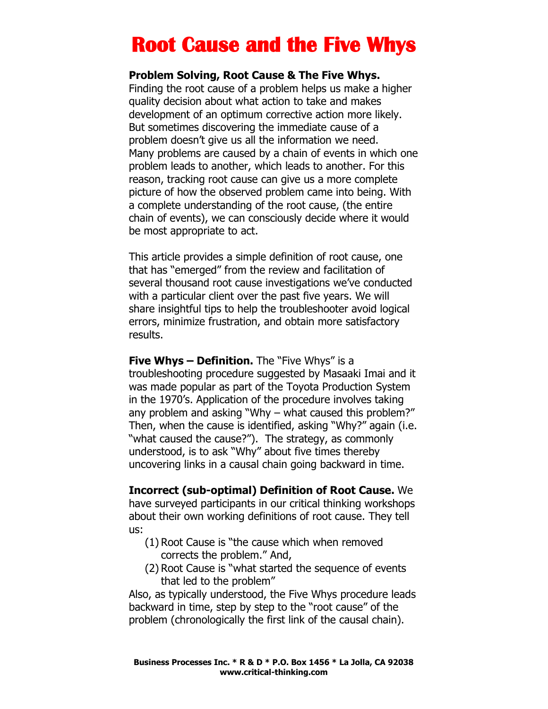## **Root Cause and the Five Whys**

## **Problem Solving, Root Cause & The Five Whys.**

Finding the root cause of a problem helps us make a higher quality decision about what action to take and makes development of an optimum corrective action more likely. But sometimes discovering the immediate cause of a problem doesn't give us all the information we need. Many problems are caused by a chain of events in which one problem leads to another, which leads to another. For this reason, tracking root cause can give us a more complete picture of how the observed problem came into being. With a complete understanding of the root cause, (the entire chain of events), we can consciously decide where it would be most appropriate to act.

This article provides a simple definition of root cause, one that has "emerged" from the review and facilitation of several thousand root cause investigations we've conducted with a particular client over the past five years. We will share insightful tips to help the troubleshooter avoid logical errors, minimize frustration, and obtain more satisfactory results.

**Five Whys – Definition.** The "Five Whys" is a troubleshooting procedure suggested by Masaaki Imai and it was made popular as part of the Toyota Production System in the 1970's. Application of the procedure involves taking any problem and asking "Why – what caused this problem?" Then, when the cause is identified, asking "Why?" again (i.e. "what caused the cause?"). The strategy, as commonly understood, is to ask "Why" about five times thereby uncovering links in a causal chain going backward in time.

**Incorrect (sub-optimal) Definition of Root Cause.** We have surveyed participants in our critical thinking workshops about their own working definitions of root cause. They tell us:

- (1) Root Cause is "the cause which when removed corrects the problem." And,
- (2) Root Cause is "what started the sequence of events that led to the problem"

Also, as typically understood, the Five Whys procedure leads backward in time, step by step to the "root cause" of the problem (chronologically the first link of the causal chain).